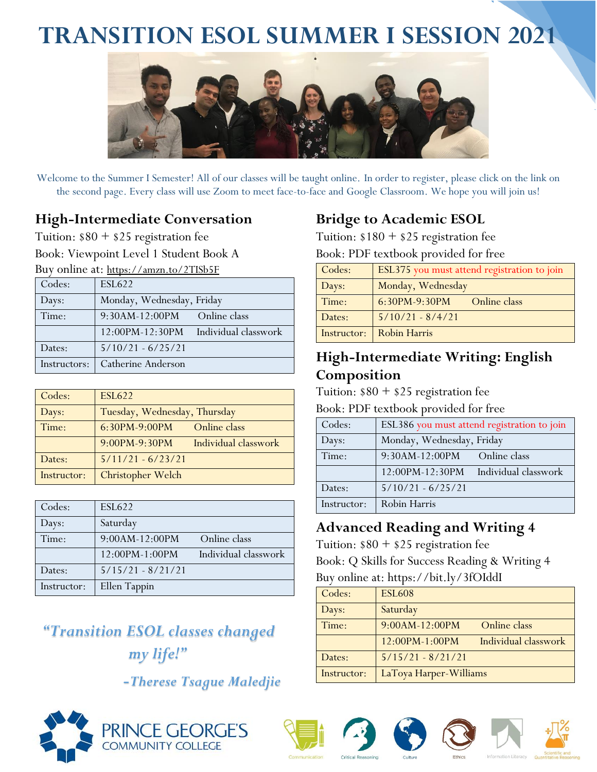# **TRANSITION ESOL SUMMER I SESSION 2021**



Welcome to the Summer I Semester! All of our classes will be taught online. In order to register, please click on the link on the second page. Every class will use Zoom to meet face-to-face and Google Classroom. We hope you will join us!

#### **High-Intermediate Conversation**

Tuition:  $$80 + $25$  registration fee Book: Viewpoint Level 1 Student Book A Buy online at: <https://amzn.to/2TISb5F>

| <u>Commo attended announce</u> $\frac{1}{2}$ |                                             |
|----------------------------------------------|---------------------------------------------|
| Codes:                                       | <b>ESL622</b>                               |
| Days:                                        | Monday, Wednesday, Friday                   |
| Time:                                        | 9:30AM-12:00PM<br>Online class              |
|                                              | $12:00PM - 12:30PM$<br>Individual classwork |
| Dates:                                       | $5/10/21 - 6/25/21$                         |
| Instructors:                                 | <b>Catherine Anderson</b>                   |

| Codes:      | <b>ESL622</b>                         |
|-------------|---------------------------------------|
| Days:       | Tuesday, Wednesday, Thursday          |
| Time:       | Online class<br>6:30PM-9:00PM         |
|             | 9:00PM-9:30PM<br>Individual classwork |
| Dates:      | $5/11/21 - 6/23/21$                   |
| Instructor: | Christopher Welch                     |

| Codes:      | <b>ESL622</b>       |                      |
|-------------|---------------------|----------------------|
| Days:       | Saturday            |                      |
| Time:       | 9:00AM-12:00PM      | Online class         |
|             | 12:00PM-1:00PM      | Individual classwork |
| Dates:      | $5/15/21 - 8/21/21$ |                      |
| Instructor: | Ellen Tappin        |                      |

*"Transition ESOL classes changed my life!"*

*-Therese Tsague Maledjie*



## **Bridge to Academic ESOL**

Tuition: \$180 + \$25 registration fee

Book: PDF textbook provided for free

| Codes:      | ESL375 you must attend registration to join |
|-------------|---------------------------------------------|
| Days:       | Monday, Wednesday                           |
| Time:       | $6:30PM-9:30PM$<br>Online class             |
| Dates:      | $5/10/21 - 8/4/21$                          |
| Instructor: | <b>Robin Harris</b>                         |

### **High-Intermediate Writing: English Composition**

Tuition:  $$80 + $25$  registration fee

Book: PDF textbook provided for free

| Codes:      | ESL386 you must attend registration to join |
|-------------|---------------------------------------------|
| Days:       | Monday, Wednesday, Friday                   |
| Time:       | 9:30AM-12:00PM<br>Online class              |
|             | 12:00PM-12:30PM<br>Individual classwork     |
| Dates:      | $5/10/21 - 6/25/21$                         |
| Instructor: | Robin Harris                                |

#### **Advanced Reading and Writing 4**

Tuition:  $$80 + $25$  registration fee

Book: Q Skills for Success Reading & Writing 4 Buy online at: https://bit.ly/3fOIddI

| Codes:      | <b>ESL608</b>                          |
|-------------|----------------------------------------|
| Days:       | Saturday                               |
| Time:       | 9:00AM-12:00PM<br>Online class         |
|             | 12:00PM-1:00PM<br>Individual classwork |
| Dates:      | $5/15/21 - 8/21/21$                    |
| Instructor: | LaToya Harper-Williams                 |